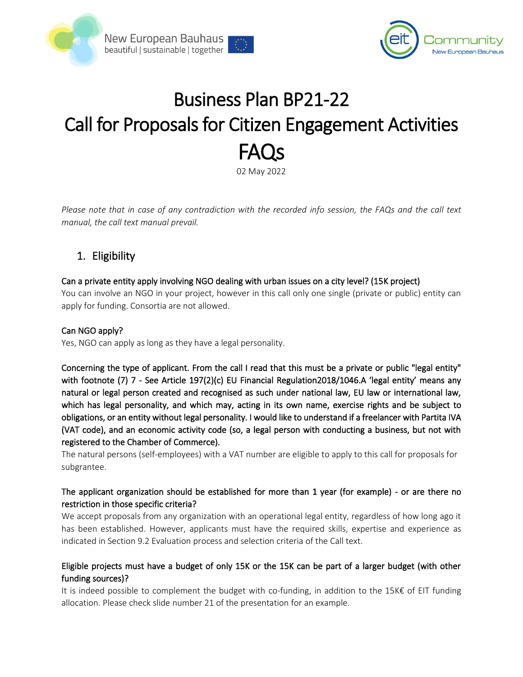



# Business Plan BP21-22 Call for Proposals for Citizen Engagement Activities FAQs

02 May 2022

*Please note that in case of any contradiction with the recorded info session, the FAQs and the call text manual, the call text manual prevail.*

# 1. Eligibility

## Can a private entity apply involving NGO dealing with urban issues on a city level? (15K project)

You can involve an NGO in your project, however in this call only one single (private or public) entity can apply for funding. Consortia are not allowed.

## Can NGO apply?

Yes, NGO can apply as long as they have a legal personality.

Concerning the type of applicant. From the call I read that this must be a private or public "legal entity" with footnote (7) 7 - See Article 197(2)(c) EU Financial Regulation2018/1046.A 'legal entity' means any natural or legal person created and recognised as such under national law, EU law or international law, which has legal personality, and which may, acting in its own name, exercise rights and be subject to obligations, or an entity without legal personality. I would like to understand if a freelancer with Partita IVA (VAT code), and an economic activity code (so, a legal person with conducting a business, but not with registered to the Chamber of Commerce).

The natural persons (self-employees) with a VAT number are eligible to apply to this call for proposals for subgrantee.

## The applicant organization should be established for more than 1 year (for example) - or are there no restriction in those specific criteria?

We accept proposals from any organization with an operational legal entity, regardless of how long ago it has been established. However, applicants must have the required skills, expertise and experience as indicated in Section 9.2 Evaluation process and selection criteria of the Call text.

## Eligible projects must have a budget of only 15K or the 15K can be part of a larger budget (with other funding sources)?

It is indeed possible to complement the budget with co-funding, in addition to the 15K€ of EIT funding allocation. Please check slide number 21 of the presentation for an example.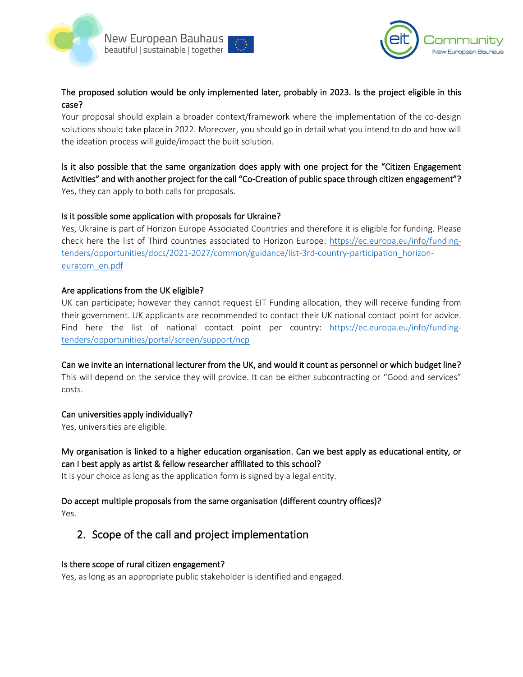



## The proposed solution would be only implemented later, probably in 2023. Is the project eligible in this case?

Your proposal should explain a broader context/framework where the implementation of the co-design solutions should take place in 2022. Moreover, you should go in detail what you intend to do and how will the ideation process will guide/impact the built solution.

## Is it also possible that the same organization does apply with one project for the "Citizen Engagement Activities" and with another project for the call "Co-Creation of public space through citizen engagement"? Yes, they can apply to both calls for proposals.

## Is it possible some application with proposals for Ukraine?

Yes, Ukraine is part of Horizon Europe Associated Countries and therefore it is eligible for funding. Please check here the list of Third countries associated to Horizon Europe: [https://ec.europa.eu/info/funding](https://ec.europa.eu/info/funding-tenders/opportunities/docs/2021-2027/common/guidance/list-3rd-country-participation_horizon-euratom_en.pdf)[tenders/opportunities/docs/2021-2027/common/guidance/list-3rd-country-participation\\_horizon](https://ec.europa.eu/info/funding-tenders/opportunities/docs/2021-2027/common/guidance/list-3rd-country-participation_horizon-euratom_en.pdf)[euratom\\_en.pdf](https://ec.europa.eu/info/funding-tenders/opportunities/docs/2021-2027/common/guidance/list-3rd-country-participation_horizon-euratom_en.pdf)

#### Are applications from the UK eligible?

UK can participate; however they cannot request EIT Funding allocation, they will receive funding from their government. UK applicants are recommended to contact their UK national contact point for advice. Find here the list of national contact point per country: [https://ec.europa.eu/info/funding](https://ec.europa.eu/info/funding-tenders/opportunities/portal/screen/support/ncp)[tenders/opportunities/portal/screen/support/ncp](https://ec.europa.eu/info/funding-tenders/opportunities/portal/screen/support/ncp)

Can we invite an international lecturer from the UK, and would it count as personnel or which budget line? This will depend on the service they will provide. It can be either subcontracting or "Good and services" costs.

## Can universities apply individually?

Yes, universities are eligible.

## My organisation is linked to a higher education organisation. Can we best apply as educational entity, or can I best apply as artist & fellow researcher affiliated to this school?

It is your choice as long as the application form is signed by a legal entity.

# Do accept multiple proposals from the same organisation (different country offices)?

Yes.

# 2. Scope of the call and project implementation

## Is there scope of rural citizen engagement?

Yes, as long as an appropriate public stakeholder is identified and engaged.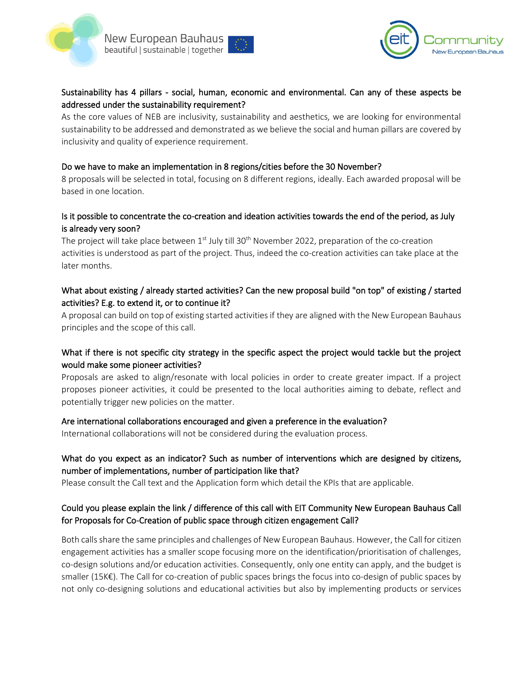



## Sustainability has 4 pillars - social, human, economic and environmental. Can any of these aspects be addressed under the sustainability requirement?

As the core values of NEB are inclusivity, sustainability and aesthetics, we are looking for environmental sustainability to be addressed and demonstrated as we believe the social and human pillars are covered by inclusivity and quality of experience requirement.

#### Do we have to make an implementation in 8 regions/cities before the 30 November?

8 proposals will be selected in total, focusing on 8 different regions, ideally. Each awarded proposal will be based in one location.

## Is it possible to concentrate the co-creation and ideation activities towards the end of the period, as July is already very soon?

The project will take place between  $1<sup>st</sup>$  July till 30<sup>th</sup> November 2022, preparation of the co-creation activities is understood as part of the project. Thus, indeed the co-creation activities can take place at the later months.

## What about existing / already started activities? Can the new proposal build "on top" of existing / started activities? E.g. to extend it, or to continue it?

A proposal can build on top of existing started activities if they are aligned with the New European Bauhaus principles and the scope of this call.

## What if there is not specific city strategy in the specific aspect the project would tackle but the project would make some pioneer activities?

Proposals are asked to align/resonate with local policies in order to create greater impact. If a project proposes pioneer activities, it could be presented to the local authorities aiming to debate, reflect and potentially trigger new policies on the matter.

#### Are international collaborations encouraged and given a preference in the evaluation?

International collaborations will not be considered during the evaluation process.

## What do you expect as an indicator? Such as number of interventions which are designed by citizens, number of implementations, number of participation like that?

Please consult the Call text and the Application form which detail the KPIs that are applicable.

## Could you please explain the link / difference of this call with EIT Community New European Bauhaus Call for Proposals for Co-Creation of public space through citizen engagement Call?

Both calls share the same principles and challenges of New European Bauhaus. However, the Call for citizen engagement activities has a smaller scope focusing more on the identification/prioritisation of challenges, co-design solutions and/or education activities. Consequently, only one entity can apply, and the budget is smaller (15K€). The Call for co-creation of public spaces brings the focus into co-design of public spaces by not only co-designing solutions and educational activities but also by implementing products or services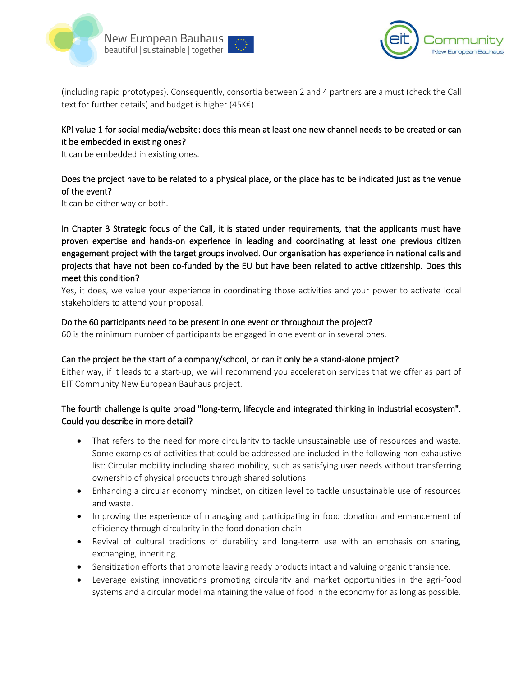



(including rapid prototypes). Consequently, consortia between 2 and 4 partners are a must (check the Call text for further details) and budget is higher (45K€).

## KPI value 1 for social media/website: does this mean at least one new channel needs to be created or can it be embedded in existing ones?

It can be embedded in existing ones.

## Does the project have to be related to a physical place, or the place has to be indicated just as the venue of the event?

It can be either way or both.

In Chapter 3 Strategic focus of the Call, it is stated under requirements, that the applicants must have proven expertise and hands-on experience in leading and coordinating at least one previous citizen engagement project with the target groups involved. Our organisation has experience in national calls and projects that have not been co-funded by the EU but have been related to active citizenship. Does this meet this condition?

Yes, it does, we value your experience in coordinating those activities and your power to activate local stakeholders to attend your proposal.

#### Do the 60 participants need to be present in one event or throughout the project?

60 is the minimum number of participants be engaged in one event or in several ones.

#### Can the project be the start of a company/school, or can it only be a stand-alone project?

Either way, if it leads to a start-up, we will recommend you acceleration services that we offer as part of EIT Community New European Bauhaus project.

## The fourth challenge is quite broad "long-term, lifecycle and integrated thinking in industrial ecosystem". Could you describe in more detail?

- That refers to the need for more circularity to tackle unsustainable use of resources and waste. Some examples of activities that could be addressed are included in the following non-exhaustive list: Circular mobility including shared mobility, such as satisfying user needs without transferring ownership of physical products through shared solutions.
- Enhancing a circular economy mindset, on citizen level to tackle unsustainable use of resources and waste.
- Improving the experience of managing and participating in food donation and enhancement of efficiency through circularity in the food donation chain.
- Revival of cultural traditions of durability and long-term use with an emphasis on sharing, exchanging, inheriting.
- Sensitization efforts that promote leaving ready products intact and valuing organic transience.
- Leverage existing innovations promoting circularity and market opportunities in the agri-food systems and a circular model maintaining the value of food in the economy for as long as possible.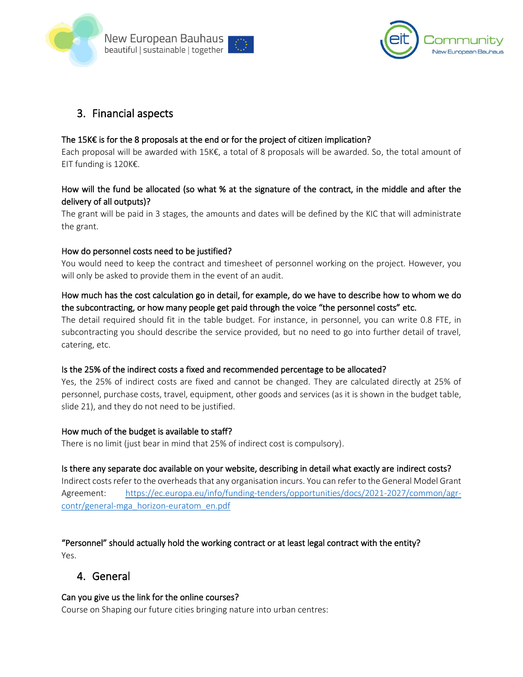



# 3. Financial aspects

## The 15K $\epsilon$  is for the 8 proposals at the end or for the project of citizen implication?

Each proposal will be awarded with 15K€, a total of 8 proposals will be awarded. So, the total amount of EIT funding is 120K€.

## How will the fund be allocated (so what % at the signature of the contract, in the middle and after the delivery of all outputs)?

The grant will be paid in 3 stages, the amounts and dates will be defined by the KIC that will administrate the grant.

#### How do personnel costs need to be justified?

You would need to keep the contract and timesheet of personnel working on the project. However, you will only be asked to provide them in the event of an audit.

## How much has the cost calculation go in detail, for example, do we have to describe how to whom we do the subcontracting, or how many people get paid through the voice "the personnel costs" etc.

The detail required should fit in the table budget. For instance, in personnel, you can write 0.8 FTE, in subcontracting you should describe the service provided, but no need to go into further detail of travel, catering, etc.

## Is the 25% of the indirect costs a fixed and recommended percentage to be allocated?

Yes, the 25% of indirect costs are fixed and cannot be changed. They are calculated directly at 25% of personnel, purchase costs, travel, equipment, other goods and services (as it is shown in the budget table, slide 21), and they do not need to be justified.

#### How much of the budget is available to staff?

There is no limit (just bear in mind that 25% of indirect cost is compulsory).

## Is there any separate doc available on your website, describing in detail what exactly are indirect costs?

Indirect costs refer to the overheads that any organisation incurs. You can refer to the General Model Grant Agreement: [https://ec.europa.eu/info/funding-tenders/opportunities/docs/2021-2027/common/agr](https://ec.europa.eu/info/funding-tenders/opportunities/docs/2021-2027/common/agr-contr/general-mga_horizon-euratom_en.pdf)[contr/general-mga\\_horizon-euratom\\_en.pdf](https://ec.europa.eu/info/funding-tenders/opportunities/docs/2021-2027/common/agr-contr/general-mga_horizon-euratom_en.pdf)

"Personnel" should actually hold the working contract or at least legal contract with the entity? Yes.

# 4. General

## Can you give us the link for the online courses?

Course on Shaping our future cities bringing nature into urban centres: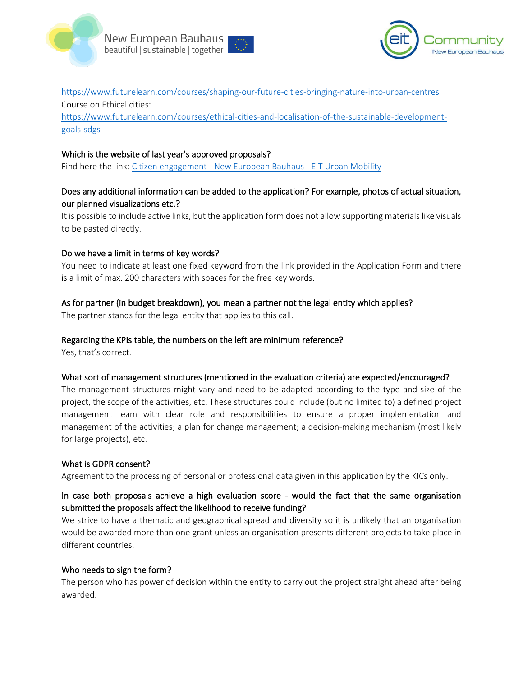



<https://www.futurelearn.com/courses/shaping-our-future-cities-bringing-nature-into-urban-centres> Course on Ethical cities:

[https://www.futurelearn.com/courses/ethical-cities-and-localisation-of-the-sustainable-development](https://www.futurelearn.com/courses/ethical-cities-and-localisation-of-the-sustainable-development-goals-sdgs-)[goals-sdgs-](https://www.futurelearn.com/courses/ethical-cities-and-localisation-of-the-sustainable-development-goals-sdgs-)

#### Which is the website of last year's approved proposals?

Find here the link: Citizen engagement - [New European Bauhaus -](https://engage.eiturbanmobility.eu/processes/new-european-bauhaus/f/36/) EIT Urban Mobility

## Does any additional information can be added to the application? For example, photos of actual situation, our planned visualizations etc.?

It is possible to include active links, but the application form does not allow supporting materials like visuals to be pasted directly.

#### Do we have a limit in terms of key words?

You need to indicate at least one fixed keyword from the link provided in the Application Form and there is a limit of max. 200 characters with spaces for the free key words.

## As for partner (in budget breakdown), you mean a partner not the legal entity which applies?

The partner stands for the legal entity that applies to this call.

#### Regarding the KPIs table, the numbers on the left are minimum reference?

Yes, that's correct.

#### What sort of management structures (mentioned in the evaluation criteria) are expected/encouraged?

The management structures might vary and need to be adapted according to the type and size of the project, the scope of the activities, etc. These structures could include (but no limited to) a defined project management team with clear role and responsibilities to ensure a proper implementation and management of the activities; a plan for change management; a decision-making mechanism (most likely for large projects), etc.

#### What is GDPR consent?

Agreement to the processing of personal or professional data given in this application by the KICs only.

## In case both proposals achieve a high evaluation score - would the fact that the same organisation submitted the proposals affect the likelihood to receive funding?

We strive to have a thematic and geographical spread and diversity so it is unlikely that an organisation would be awarded more than one grant unless an organisation presents different projects to take place in different countries.

#### Who needs to sign the form?

The person who has power of decision within the entity to carry out the project straight ahead after being awarded.